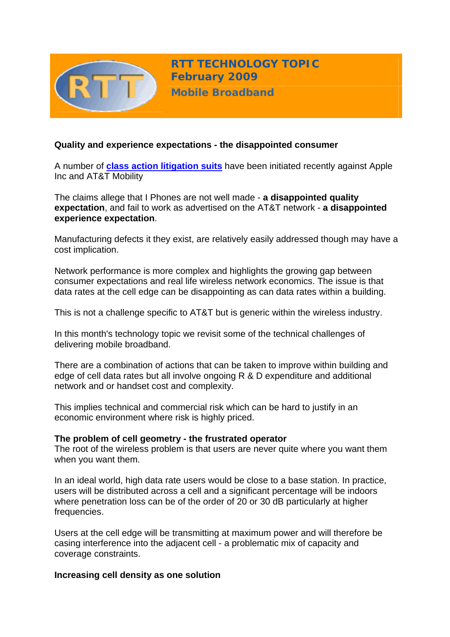

**RTT TECHNOLOGY TOPIC February 2009**

**Mobile Broadband**

## **Quality and experience expectations - the disappointed consumer**

A number of **[class action litigation suits](http://consumerist.com/5146172/3-iphone-class-action-lawsuits-filed-in-the-past-week)** have been initiated recently against Apple Inc and AT&T Mobility

The claims allege that I Phones are not well made - **a disappointed quality expectation**, and fail to work as advertised on the AT&T network - **a disappointed experience expectation**.

Manufacturing defects it they exist, are relatively easily addressed though may have a cost implication.

Network performance is more complex and highlights the growing gap between consumer expectations and real life wireless network economics. The issue is that data rates at the cell edge can be disappointing as can data rates within a building.

This is not a challenge specific to AT&T but is generic within the wireless industry.

In this month's technology topic we revisit some of the technical challenges of delivering mobile broadband.

There are a combination of actions that can be taken to improve within building and edge of cell data rates but all involve ongoing R & D expenditure and additional network and or handset cost and complexity.

This implies technical and commercial risk which can be hard to justify in an economic environment where risk is highly priced.

#### **The problem of cell geometry - the frustrated operator**

The root of the wireless problem is that users are never quite where you want them when you want them.

In an ideal world, high data rate users would be close to a base station. In practice, users will be distributed across a cell and a significant percentage will be indoors where penetration loss can be of the order of 20 or 30 dB particularly at higher frequencies.

Users at the cell edge will be transmitting at maximum power and will therefore be casing interference into the adjacent cell - a problematic mix of capacity and coverage constraints.

### **Increasing cell density as one solution**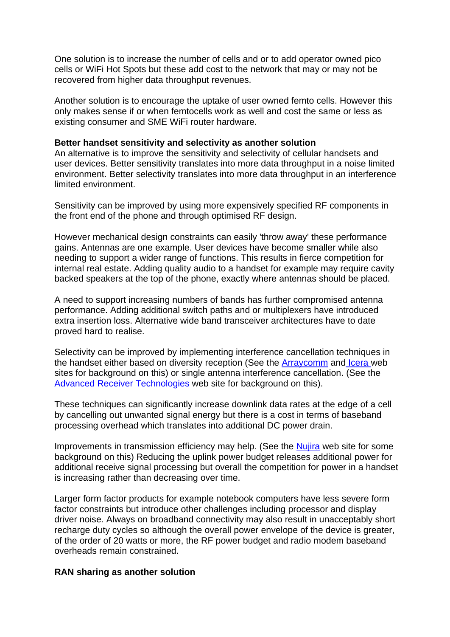One solution is to increase the number of cells and or to add operator owned pico cells or WiFi Hot Spots but these add cost to the network that may or may not be recovered from higher data throughput revenues.

Another solution is to encourage the uptake of user owned femto cells. However this only makes sense if or when femtocells work as well and cost the same or less as existing consumer and SME WiFi router hardware.

#### **Better handset sensitivity and selectivity as another solution**

An alternative is to improve the sensitivity and selectivity of cellular handsets and user devices. Better sensitivity translates into more data throughput in a noise limited environment. Better selectivity translates into more data throughput in an interference limited environment.

Sensitivity can be improved by using more expensively specified RF components in the front end of the phone and through optimised RF design.

However mechanical design constraints can easily 'throw away' these performance gains. Antennas are one example. User devices have become smaller while also needing to support a wider range of functions. This results in fierce competition for internal real estate. Adding quality audio to a handset for example may require cavity backed speakers at the top of the phone, exactly where antennas should be placed.

A need to support increasing numbers of bands has further compromised antenna performance. Adding additional switch paths and or multiplexers have introduced extra insertion loss. Alternative wide band transceiver architectures have to date proved hard to realise.

Selectivity can be improved by implementing interference cancellation techniques in the handset either based on diversity reception (See the **[Arraycomm](http://www.arraycomm.com/docs/20080902_A-MAS-3i_for_Enhanced_HSDPA_Data_Rates.pdf)** and **Icera** web sites for background on this) or single antenna interference cancellation. (See the [Advanced Receiver Technologies](http://www.receivertec.com/articles/ARTIntro.pdf) web site for background on this).

These techniques can significantly increase downlink data rates at the edge of a cell by cancelling out unwanted signal energy but there is a cost in terms of baseband processing overhead which translates into additional DC power drain.

Improvements in transmission efficiency may help. (See the [Nujira](http://www.nujira.com/news/pr&id=nujira_resets_cost_efficiency_benchmark_for_4g_handset_rf_front_end) web site for some background on this) Reducing the uplink power budget releases additional power for additional receive signal processing but overall the competition for power in a handset is increasing rather than decreasing over time.

Larger form factor products for example notebook computers have less severe form factor constraints but introduce other challenges including processor and display driver noise. Always on broadband connectivity may also result in unacceptably short recharge duty cycles so although the overall power envelope of the device is greater, of the order of 20 watts or more, the RF power budget and radio modem baseband overheads remain constrained.

#### **RAN sharing as another solution**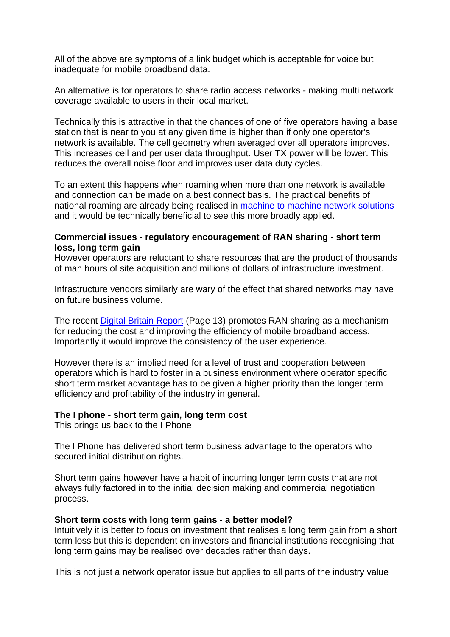All of the above are symptoms of a link budget which is acceptable for voice but inadequate for mobile broadband data.

An alternative is for operators to share radio access networks - making multi network coverage available to users in their local market.

Technically this is attractive in that the chances of one of five operators having a base station that is near to you at any given time is higher than if only one operator's network is available. The cell geometry when averaged over all operators improves. This increases cell and per user data throughput. User TX power will be lower. This reduces the overall noise floor and improves user data duty cycles.

To an extent this happens when roaming when more than one network is available and connection can be made on a best connect basis. The practical benefits of national roaming are already being realised in [machine to machine network solutions](http://www.vianet.co.uk/) and it would be technically beneficial to see this more broadly applied.

### **Commercial issues - regulatory encouragement of RAN sharing - short term loss, long term gain**

However operators are reluctant to share resources that are the product of thousands of man hours of site acquisition and millions of dollars of infrastructure investment.

Infrastructure vendors similarly are wary of the effect that shared networks may have on future business volume.

The recent [Digital Britain Report](http://www.culture.gov.uk/what_we_do/broadcasting/5631.aspx) (Page 13) promotes RAN sharing as a mechanism for reducing the cost and improving the efficiency of mobile broadband access. Importantly it would improve the consistency of the user experience.

However there is an implied need for a level of trust and cooperation between operators which is hard to foster in a business environment where operator specific short term market advantage has to be given a higher priority than the longer term efficiency and profitability of the industry in general.

### **The I phone - short term gain, long term cost**

This brings us back to the I Phone

The I Phone has delivered short term business advantage to the operators who secured initial distribution rights.

Short term gains however have a habit of incurring longer term costs that are not always fully factored in to the initial decision making and commercial negotiation process.

#### **Short term costs with long term gains - a better model?**

Intuitively it is better to focus on investment that realises a long term gain from a short term loss but this is dependent on investors and financial institutions recognising that long term gains may be realised over decades rather than days.

This is not just a network operator issue but applies to all parts of the industry value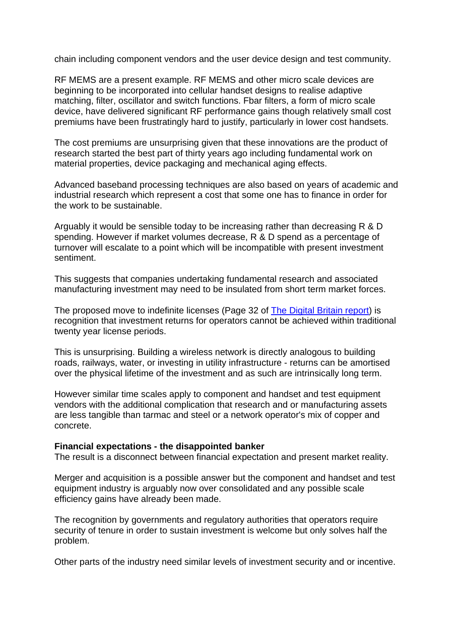chain including component vendors and the user device design and test community.

RF MEMS are a present example. RF MEMS and other micro scale devices are beginning to be incorporated into cellular handset designs to realise adaptive matching, filter, oscillator and switch functions. Fbar filters, a form of micro scale device, have delivered significant RF performance gains though relatively small cost premiums have been frustratingly hard to justify, particularly in lower cost handsets.

The cost premiums are unsurprising given that these innovations are the product of research started the best part of thirty years ago including fundamental work on material properties, device packaging and mechanical aging effects.

Advanced baseband processing techniques are also based on years of academic and industrial research which represent a cost that some one has to finance in order for the work to be sustainable.

Arguably it would be sensible today to be increasing rather than decreasing R & D spending. However if market volumes decrease, R & D spend as a percentage of turnover will escalate to a point which will be incompatible with present investment sentiment.

This suggests that companies undertaking fundamental research and associated manufacturing investment may need to be insulated from short term market forces.

The proposed move to indefinite licenses (Page 32 of [The Digital Britain report](http://www.culture.gov.uk/what_we_do/broadcasting/5631.aspx)) is recognition that investment returns for operators cannot be achieved within traditional twenty year license periods.

This is unsurprising. Building a wireless network is directly analogous to building roads, railways, water, or investing in utility infrastructure - returns can be amortised over the physical lifetime of the investment and as such are intrinsically long term.

However similar time scales apply to component and handset and test equipment vendors with the additional complication that research and or manufacturing assets are less tangible than tarmac and steel or a network operator's mix of copper and concrete.

#### **Financial expectations - the disappointed banker**

The result is a disconnect between financial expectation and present market reality.

Merger and acquisition is a possible answer but the component and handset and test equipment industry is arguably now over consolidated and any possible scale efficiency gains have already been made.

The recognition by governments and regulatory authorities that operators require security of tenure in order to sustain investment is welcome but only solves half the problem.

Other parts of the industry need similar levels of investment security and or incentive.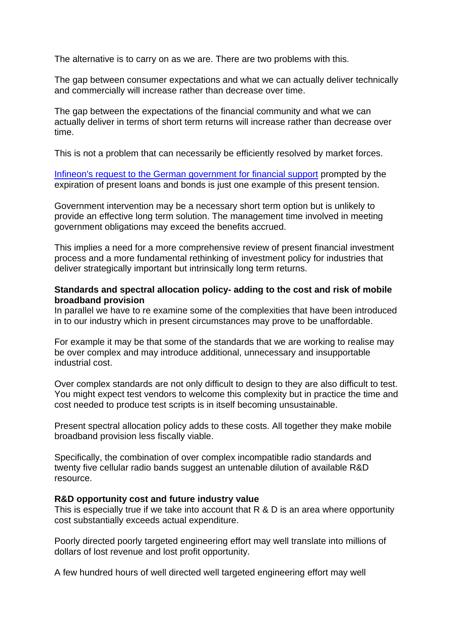The alternative is to carry on as we are. There are two problems with this.

The gap between consumer expectations and what we can actually deliver technically and commercially will increase rather than decrease over time.

The gap between the expectations of the financial community and what we can actually deliver in terms of short term returns will increase rather than decrease over time.

This is not a problem that can necessarily be efficiently resolved by market forces.

[Infineon's request to the German government for financial support](http://www.eetimes.eu/showArticle.jhtml?articleID=213401211&cid=NL_eeteu) prompted by the expiration of present loans and bonds is just one example of this present tension.

Government intervention may be a necessary short term option but is unlikely to provide an effective long term solution. The management time involved in meeting government obligations may exceed the benefits accrued.

This implies a need for a more comprehensive review of present financial investment process and a more fundamental rethinking of investment policy for industries that deliver strategically important but intrinsically long term returns.

### **Standards and spectral allocation policy- adding to the cost and risk of mobile broadband provision**

In parallel we have to re examine some of the complexities that have been introduced in to our industry which in present circumstances may prove to be unaffordable.

For example it may be that some of the standards that we are working to realise may be over complex and may introduce additional, unnecessary and insupportable industrial cost.

Over complex standards are not only difficult to design to they are also difficult to test. You might expect test vendors to welcome this complexity but in practice the time and cost needed to produce test scripts is in itself becoming unsustainable.

Present spectral allocation policy adds to these costs. All together they make mobile broadband provision less fiscally viable.

Specifically, the combination of over complex incompatible radio standards and twenty five cellular radio bands suggest an untenable dilution of available R&D resource.

### **R&D opportunity cost and future industry value**

This is especially true if we take into account that R & D is an area where opportunity cost substantially exceeds actual expenditure.

Poorly directed poorly targeted engineering effort may well translate into millions of dollars of lost revenue and lost profit opportunity.

A few hundred hours of well directed well targeted engineering effort may well